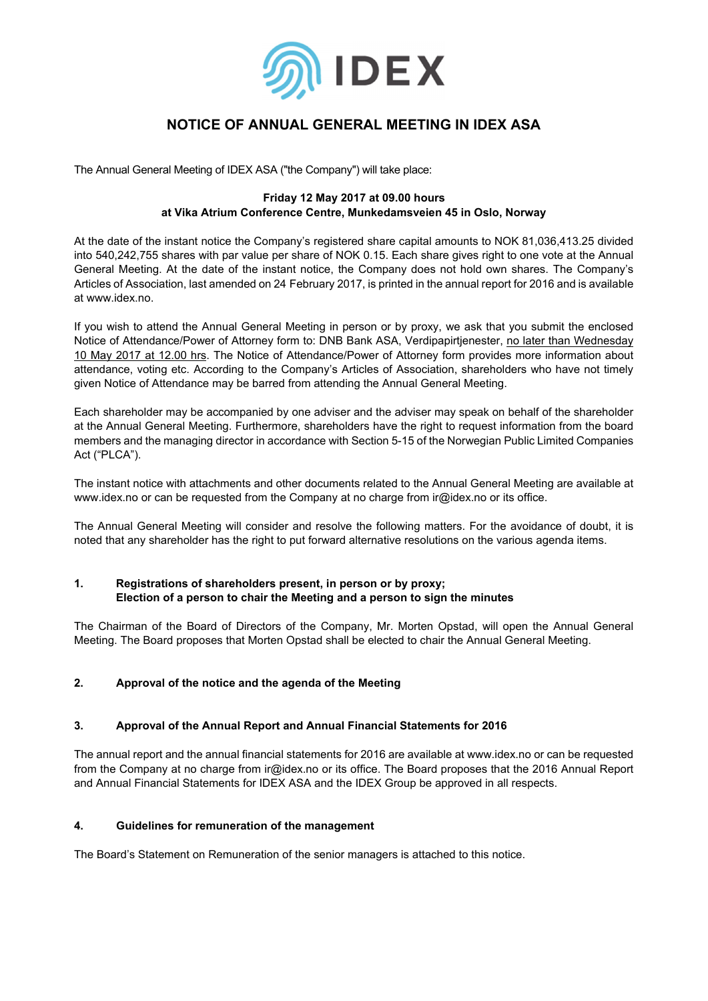

# **NOTICE OF ANNUAL GENERAL MEETING IN IDEX ASA**

The Annual General Meeting of IDEX ASA ("the Company") will take place:

# **Friday 12 May 2017 at 09.00 hours at Vika Atrium Conference Centre, Munkedamsveien 45 in Oslo, Norway**

At the date of the instant notice the Company's registered share capital amounts to NOK 81,036,413.25 divided into 540,242,755 shares with par value per share of NOK 0.15. Each share gives right to one vote at the Annual General Meeting. At the date of the instant notice, the Company does not hold own shares. The Company's Articles of Association, last amended on 24 February 2017, is printed in the annual report for 2016 and is available at www.idex.no.

If you wish to attend the Annual General Meeting in person or by proxy, we ask that you submit the enclosed Notice of Attendance/Power of Attorney form to: DNB Bank ASA, Verdipapirtjenester, no later than Wednesday 10 May 2017 at 12.00 hrs. The Notice of Attendance/Power of Attorney form provides more information about attendance, voting etc. According to the Company's Articles of Association, shareholders who have not timely given Notice of Attendance may be barred from attending the Annual General Meeting.

Each shareholder may be accompanied by one adviser and the adviser may speak on behalf of the shareholder at the Annual General Meeting. Furthermore, shareholders have the right to request information from the board members and the managing director in accordance with Section 5-15 of the Norwegian Public Limited Companies Act ("PLCA").

The instant notice with attachments and other documents related to the Annual General Meeting are available at www.idex.no or can be requested from the Company at no charge from ir@idex.no or its office.

The Annual General Meeting will consider and resolve the following matters. For the avoidance of doubt, it is noted that any shareholder has the right to put forward alternative resolutions on the various agenda items.

# **1. Registrations of shareholders present, in person or by proxy; Election of a person to chair the Meeting and a person to sign the minutes**

The Chairman of the Board of Directors of the Company, Mr. Morten Opstad, will open the Annual General Meeting. The Board proposes that Morten Opstad shall be elected to chair the Annual General Meeting.

# **2. Approval of the notice and the agenda of the Meeting**

# **3. Approval of the Annual Report and Annual Financial Statements for 2016**

The annual report and the annual financial statements for 2016 are available at www.idex.no or can be requested from the Company at no charge from ir@idex.no or its office. The Board proposes that the 2016 Annual Report and Annual Financial Statements for IDEX ASA and the IDEX Group be approved in all respects.

# **4. Guidelines for remuneration of the management**

The Board's Statement on Remuneration of the senior managers is attached to this notice.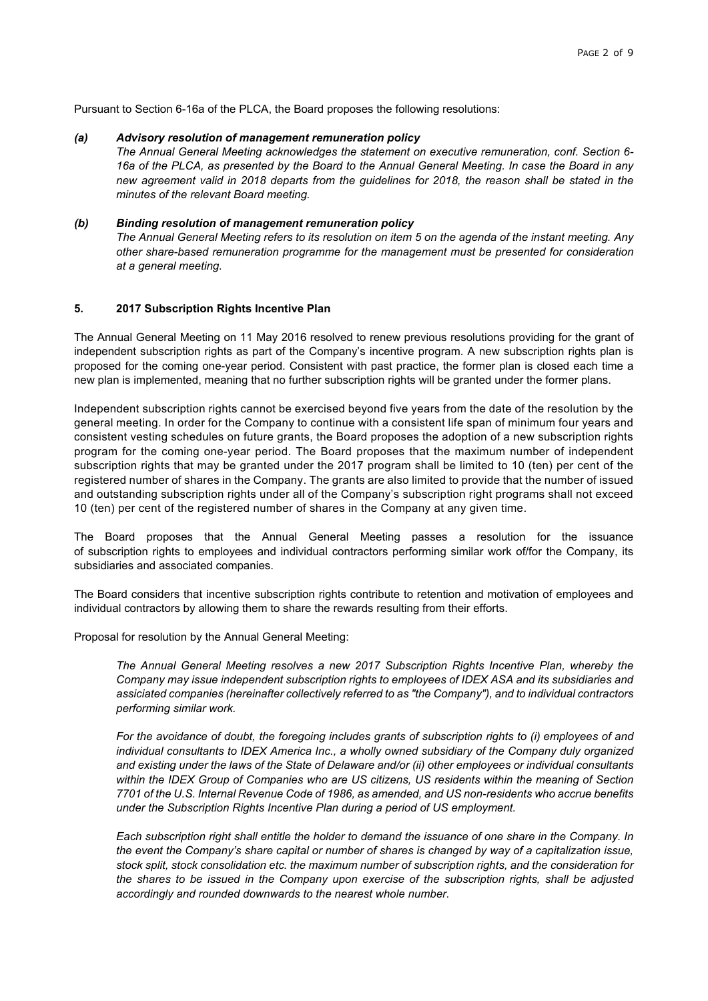Pursuant to Section 6-16a of the PLCA, the Board proposes the following resolutions:

#### *(a) Advisory resolution of management remuneration policy*

*The Annual General Meeting acknowledges the statement on executive remuneration, conf. Section 6- 16a of the PLCA, as presented by the Board to the Annual General Meeting. In case the Board in any new agreement valid in 2018 departs from the guidelines for 2018, the reason shall be stated in the minutes of the relevant Board meeting.* 

#### *(b) Binding resolution of management remuneration policy*

*The Annual General Meeting refers to its resolution on item 5 on the agenda of the instant meeting. Any other share-based remuneration programme for the management must be presented for consideration at a general meeting.* 

#### **5. 2017 Subscription Rights Incentive Plan**

The Annual General Meeting on 11 May 2016 resolved to renew previous resolutions providing for the grant of independent subscription rights as part of the Company's incentive program. A new subscription rights plan is proposed for the coming one-year period. Consistent with past practice, the former plan is closed each time a new plan is implemented, meaning that no further subscription rights will be granted under the former plans.

Independent subscription rights cannot be exercised beyond five years from the date of the resolution by the general meeting. In order for the Company to continue with a consistent life span of minimum four years and consistent vesting schedules on future grants, the Board proposes the adoption of a new subscription rights program for the coming one-year period. The Board proposes that the maximum number of independent subscription rights that may be granted under the 2017 program shall be limited to 10 (ten) per cent of the registered number of shares in the Company. The grants are also limited to provide that the number of issued and outstanding subscription rights under all of the Company's subscription right programs shall not exceed 10 (ten) per cent of the registered number of shares in the Company at any given time.

The Board proposes that the Annual General Meeting passes a resolution for the issuance of subscription rights to employees and individual contractors performing similar work of/for the Company, its subsidiaries and associated companies.

The Board considers that incentive subscription rights contribute to retention and motivation of employees and individual contractors by allowing them to share the rewards resulting from their efforts.

Proposal for resolution by the Annual General Meeting:

*The Annual General Meeting resolves a new 2017 Subscription Rights Incentive Plan, whereby the Company may issue independent subscription rights to employees of IDEX ASA and its subsidiaries and assiciated companies (hereinafter collectively referred to as "the Company"), and to individual contractors performing similar work.* 

*For the avoidance of doubt, the foregoing includes grants of subscription rights to (i) employees of and individual consultants to IDEX America Inc., a wholly owned subsidiary of the Company duly organized and existing under the laws of the State of Delaware and/or (ii) other employees or individual consultants within the IDEX Group of Companies who are US citizens, US residents within the meaning of Section 7701 of the U.S. Internal Revenue Code of 1986, as amended, and US non-residents who accrue benefits under the Subscription Rights Incentive Plan during a period of US employment.* 

*Each subscription right shall entitle the holder to demand the issuance of one share in the Company. In the event the Company's share capital or number of shares is changed by way of a capitalization issue, stock split, stock consolidation etc. the maximum number of subscription rights, and the consideration for the shares to be issued in the Company upon exercise of the subscription rights, shall be adjusted accordingly and rounded downwards to the nearest whole number.*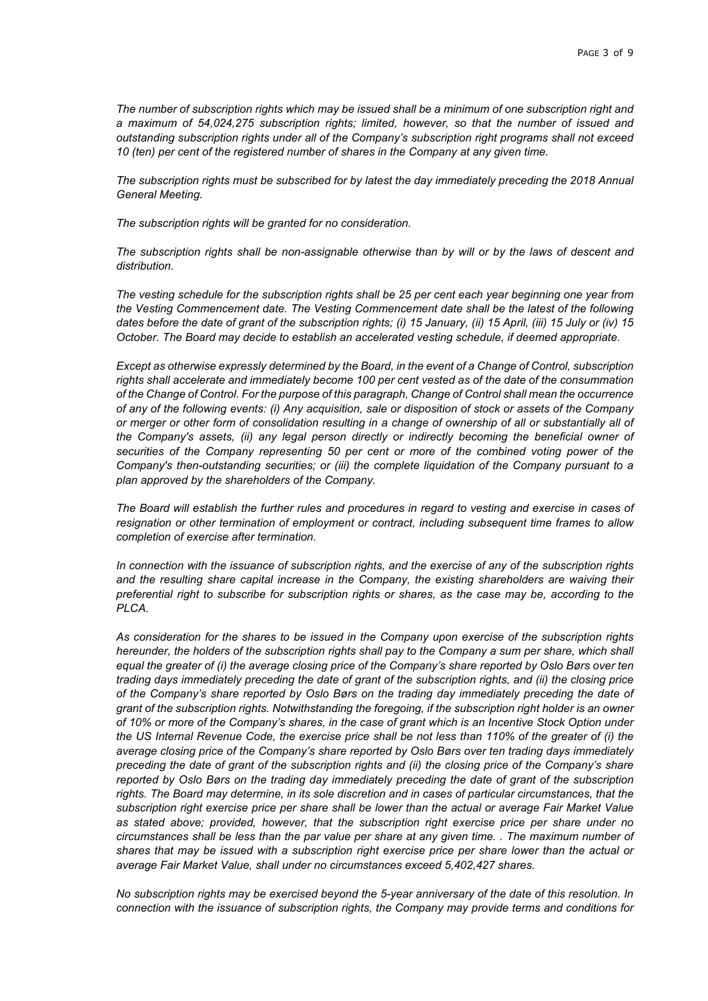*The number of subscription rights which may be issued shall be a minimum of one subscription right and a maximum of 54,024,275 subscription rights; limited, however, so that the number of issued and outstanding subscription rights under all of the Company's subscription right programs shall not exceed 10 (ten) per cent of the registered number of shares in the Company at any given time.* 

*The subscription rights must be subscribed for by latest the day immediately preceding the 2018 Annual General Meeting.* 

*The subscription rights will be granted for no consideration.* 

*The subscription rights shall be non-assignable otherwise than by will or by the laws of descent and distribution.* 

*The vesting schedule for the subscription rights shall be 25 per cent each year beginning one year from the Vesting Commencement date. The Vesting Commencement date shall be the latest of the following dates before the date of grant of the subscription rights; (i) 15 January, (ii) 15 April, (iii) 15 July or (iv) 15 October. The Board may decide to establish an accelerated vesting schedule, if deemed appropriate.* 

*Except as otherwise expressly determined by the Board, in the event of a Change of Control, subscription rights shall accelerate and immediately become 100 per cent vested as of the date of the consummation of the Change of Control. For the purpose of this paragraph, Change of Control shall mean the occurrence of any of the following events: (i) Any acquisition, sale or disposition of stock or assets of the Company or merger or other form of consolidation resulting in a change of ownership of all or substantially all of the Company's assets, (ii) any legal person directly or indirectly becoming the beneficial owner of securities of the Company representing 50 per cent or more of the combined voting power of the Company's then-outstanding securities; or (iii) the complete liquidation of the Company pursuant to a plan approved by the shareholders of the Company.* 

*The Board will establish the further rules and procedures in regard to vesting and exercise in cases of resignation or other termination of employment or contract, including subsequent time frames to allow completion of exercise after termination.* 

*In connection with the issuance of subscription rights, and the exercise of any of the subscription rights and the resulting share capital increase in the Company, the existing shareholders are waiving their preferential right to subscribe for subscription rights or shares, as the case may be, according to the PLCA* 

*As consideration for the shares to be issued in the Company upon exercise of the subscription rights hereunder, the holders of the subscription rights shall pay to the Company a sum per share, which shall equal the greater of (i) the average closing price of the Company's share reported by Oslo Børs over ten trading days immediately preceding the date of grant of the subscription rights, and (ii) the closing price of the Company's share reported by Oslo Børs on the trading day immediately preceding the date of grant of the subscription rights. Notwithstanding the foregoing, if the subscription right holder is an owner of 10% or more of the Company's shares, in the case of grant which is an Incentive Stock Option under the US Internal Revenue Code, the exercise price shall be not less than 110% of the greater of (i) the average closing price of the Company's share reported by Oslo Børs over ten trading days immediately preceding the date of grant of the subscription rights and (ii) the closing price of the Company's share reported by Oslo Børs on the trading day immediately preceding the date of grant of the subscription rights. The Board may determine, in its sole discretion and in cases of particular circumstances, that the subscription right exercise price per share shall be lower than the actual or average Fair Market Value as stated above; provided, however, that the subscription right exercise price per share under no circumstances shall be less than the par value per share at any given time. . The maximum number of shares that may be issued with a subscription right exercise price per share lower than the actual or average Fair Market Value, shall under no circumstances exceed 5,402,427 shares.* 

*No subscription rights may be exercised beyond the 5-year anniversary of the date of this resolution. In connection with the issuance of subscription rights, the Company may provide terms and conditions for*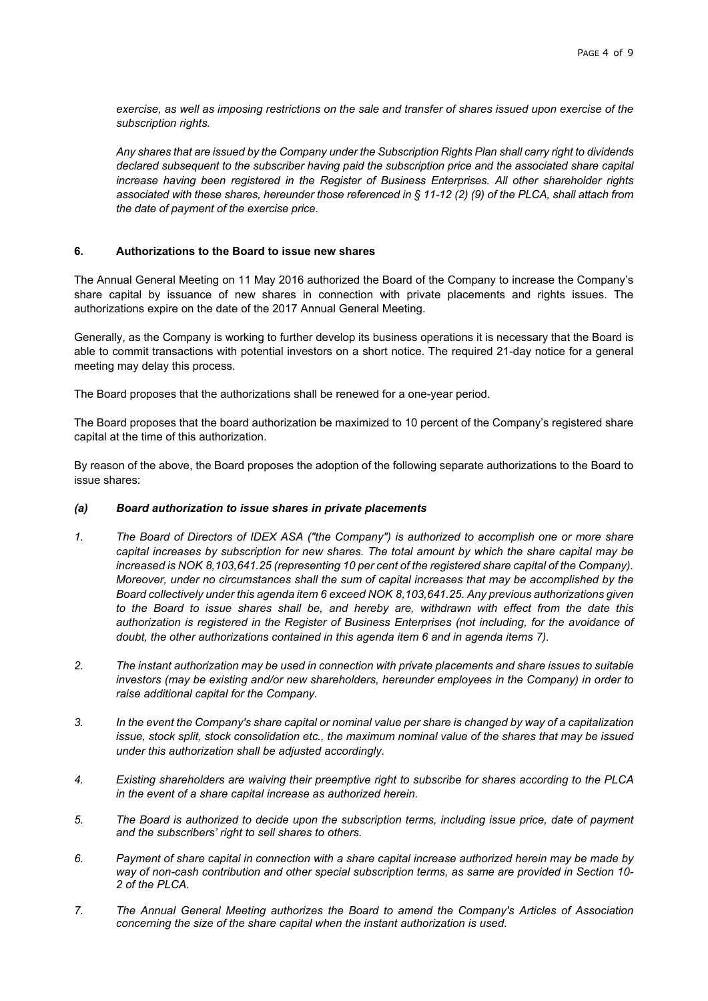*exercise, as well as imposing restrictions on the sale and transfer of shares issued upon exercise of the subscription rights.* 

*Any shares that are issued by the Company under the Subscription Rights Plan shall carry right to dividends declared subsequent to the subscriber having paid the subscription price and the associated share capital increase having been registered in the Register of Business Enterprises. All other shareholder rights associated with these shares, hereunder those referenced in § 11-12 (2) (9) of the PLCA, shall attach from the date of payment of the exercise price.* 

#### **6. Authorizations to the Board to issue new shares**

The Annual General Meeting on 11 May 2016 authorized the Board of the Company to increase the Company's share capital by issuance of new shares in connection with private placements and rights issues. The authorizations expire on the date of the 2017 Annual General Meeting.

Generally, as the Company is working to further develop its business operations it is necessary that the Board is able to commit transactions with potential investors on a short notice. The required 21-day notice for a general meeting may delay this process.

The Board proposes that the authorizations shall be renewed for a one-year period.

The Board proposes that the board authorization be maximized to 10 percent of the Company's registered share capital at the time of this authorization.

By reason of the above, the Board proposes the adoption of the following separate authorizations to the Board to issue shares:

#### *(a) Board authorization to issue shares in private placements*

- *1. The Board of Directors of IDEX ASA ("the Company") is authorized to accomplish one or more share capital increases by subscription for new shares. The total amount by which the share capital may be*  increased is NOK 8,103,641.25 (representing 10 per cent of the registered share capital of the Company). *Moreover, under no circumstances shall the sum of capital increases that may be accomplished by the Board collectively under this agenda item 6 exceed NOK 8,103,641.25. Any previous authorizations given to the Board to issue shares shall be, and hereby are, withdrawn with effect from the date this authorization is registered in the Register of Business Enterprises (not including, for the avoidance of doubt, the other authorizations contained in this agenda item 6 and in agenda items 7).*
- *2. The instant authorization may be used in connection with private placements and share issues to suitable investors (may be existing and/or new shareholders, hereunder employees in the Company) in order to raise additional capital for the Company.*
- *3. In the event the Company's share capital or nominal value per share is changed by way of a capitalization issue, stock split, stock consolidation etc., the maximum nominal value of the shares that may be issued under this authorization shall be adjusted accordingly.*
- *4. Existing shareholders are waiving their preemptive right to subscribe for shares according to the PLCA in the event of a share capital increase as authorized herein.*
- *5. The Board is authorized to decide upon the subscription terms, including issue price, date of payment and the subscribers' right to sell shares to others.*
- *6. Payment of share capital in connection with a share capital increase authorized herein may be made by way of non-cash contribution and other special subscription terms, as same are provided in Section 10- 2 of the PLCA.*
- *7. The Annual General Meeting authorizes the Board to amend the Company's Articles of Association concerning the size of the share capital when the instant authorization is used.*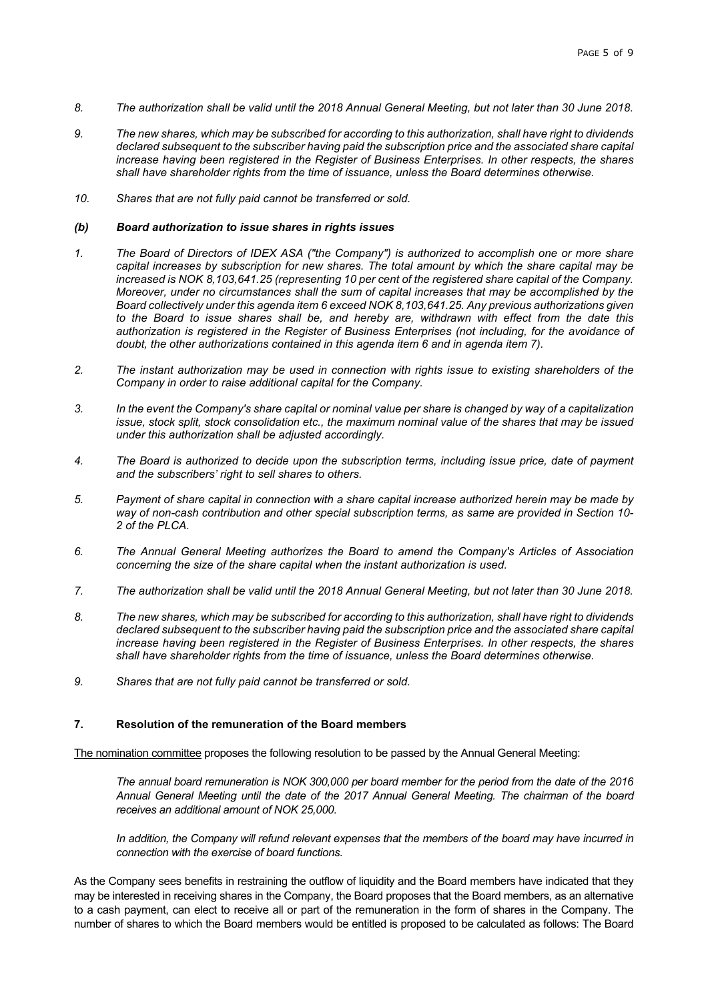- *8. The authorization shall be valid until the 2018 Annual General Meeting, but not later than 30 June 2018.*
- *9. The new shares, which may be subscribed for according to this authorization, shall have right to dividends declared subsequent to the subscriber having paid the subscription price and the associated share capital increase having been registered in the Register of Business Enterprises. In other respects, the shares shall have shareholder rights from the time of issuance, unless the Board determines otherwise.*
- *10. Shares that are not fully paid cannot be transferred or sold.*

#### *(b) Board authorization to issue shares in rights issues*

- *1. The Board of Directors of IDEX ASA ("the Company") is authorized to accomplish one or more share capital increases by subscription for new shares. The total amount by which the share capital may be increased is NOK 8,103,641.25 (representing 10 per cent of the registered share capital of the Company. Moreover, under no circumstances shall the sum of capital increases that may be accomplished by the Board collectively under this agenda item 6 exceed NOK 8,103,641.25. Any previous authorizations given to the Board to issue shares shall be, and hereby are, withdrawn with effect from the date this authorization is registered in the Register of Business Enterprises (not including, for the avoidance of doubt, the other authorizations contained in this agenda item 6 and in agenda item 7).*
- *2. The instant authorization may be used in connection with rights issue to existing shareholders of the Company in order to raise additional capital for the Company.*
- *3. In the event the Company's share capital or nominal value per share is changed by way of a capitalization issue, stock split, stock consolidation etc., the maximum nominal value of the shares that may be issued under this authorization shall be adjusted accordingly.*
- *4. The Board is authorized to decide upon the subscription terms, including issue price, date of payment and the subscribers' right to sell shares to others.*
- *5. Payment of share capital in connection with a share capital increase authorized herein may be made by way of non-cash contribution and other special subscription terms, as same are provided in Section 10- 2 of the PLCA.*
- *6. The Annual General Meeting authorizes the Board to amend the Company's Articles of Association concerning the size of the share capital when the instant authorization is used.*
- *7. The authorization shall be valid until the 2018 Annual General Meeting, but not later than 30 June 2018.*
- *8. The new shares, which may be subscribed for according to this authorization, shall have right to dividends declared subsequent to the subscriber having paid the subscription price and the associated share capital increase having been registered in the Register of Business Enterprises. In other respects, the shares shall have shareholder rights from the time of issuance, unless the Board determines otherwise.*
- *9. Shares that are not fully paid cannot be transferred or sold.*

#### **7. Resolution of the remuneration of the Board members**

The nomination committee proposes the following resolution to be passed by the Annual General Meeting:

*The annual board remuneration is NOK 300,000 per board member for the period from the date of the 2016 Annual General Meeting until the date of the 2017 Annual General Meeting. The chairman of the board receives an additional amount of NOK 25,000.* 

*In addition, the Company will refund relevant expenses that the members of the board may have incurred in connection with the exercise of board functions.* 

As the Company sees benefits in restraining the outflow of liquidity and the Board members have indicated that they may be interested in receiving shares in the Company, the Board proposes that the Board members, as an alternative to a cash payment, can elect to receive all or part of the remuneration in the form of shares in the Company. The number of shares to which the Board members would be entitled is proposed to be calculated as follows: The Board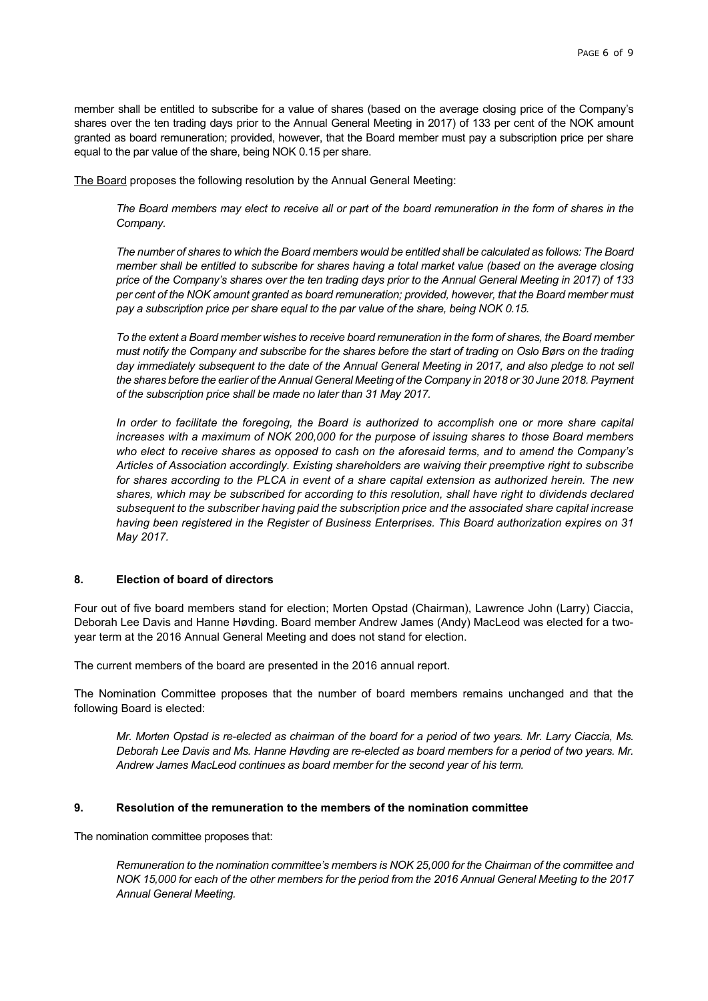member shall be entitled to subscribe for a value of shares (based on the average closing price of the Company's shares over the ten trading days prior to the Annual General Meeting in 2017) of 133 per cent of the NOK amount granted as board remuneration; provided, however, that the Board member must pay a subscription price per share equal to the par value of the share, being NOK 0.15 per share.

The Board proposes the following resolution by the Annual General Meeting:

*The Board members may elect to receive all or part of the board remuneration in the form of shares in the Company.* 

*The number of shares to which the Board members would be entitled shall be calculated as follows: The Board member shall be entitled to subscribe for shares having a total market value (based on the average closing price of the Company's shares over the ten trading days prior to the Annual General Meeting in 2017) of 133 per cent of the NOK amount granted as board remuneration; provided, however, that the Board member must pay a subscription price per share equal to the par value of the share, being NOK 0.15.* 

*To the extent a Board member wishes to receive board remuneration in the form of shares, the Board member must notify the Company and subscribe for the shares before the start of trading on Oslo Børs on the trading day immediately subsequent to the date of the Annual General Meeting in 2017, and also pledge to not sell the shares before the earlier of the Annual General Meeting of the Company in 2018 or 30 June 2018. Payment of the subscription price shall be made no later than 31 May 2017.* 

*In order to facilitate the foregoing, the Board is authorized to accomplish one or more share capital increases with a maximum of NOK 200,000 for the purpose of issuing shares to those Board members who elect to receive shares as opposed to cash on the aforesaid terms, and to amend the Company's Articles of Association accordingly. Existing shareholders are waiving their preemptive right to subscribe for shares according to the PLCA in event of a share capital extension as authorized herein. The new shares, which may be subscribed for according to this resolution, shall have right to dividends declared subsequent to the subscriber having paid the subscription price and the associated share capital increase having been registered in the Register of Business Enterprises. This Board authorization expires on 31 May 2017.* 

# **8. Election of board of directors**

Four out of five board members stand for election; Morten Opstad (Chairman), Lawrence John (Larry) Ciaccia, Deborah Lee Davis and Hanne Høvding. Board member Andrew James (Andy) MacLeod was elected for a twoyear term at the 2016 Annual General Meeting and does not stand for election.

The current members of the board are presented in the 2016 annual report.

The Nomination Committee proposes that the number of board members remains unchanged and that the following Board is elected:

*Mr. Morten Opstad is re-elected as chairman of the board for a period of two years. Mr. Larry Ciaccia, Ms. Deborah Lee Davis and Ms. Hanne Høvding are re-elected as board members for a period of two years. Mr. Andrew James MacLeod continues as board member for the second year of his term.* 

#### **9. Resolution of the remuneration to the members of the nomination committee**

The nomination committee proposes that:

*Remuneration to the nomination committee's members is NOK 25,000 for the Chairman of the committee and NOK 15,000 for each of the other members for the period from the 2016 Annual General Meeting to the 2017 Annual General Meeting.*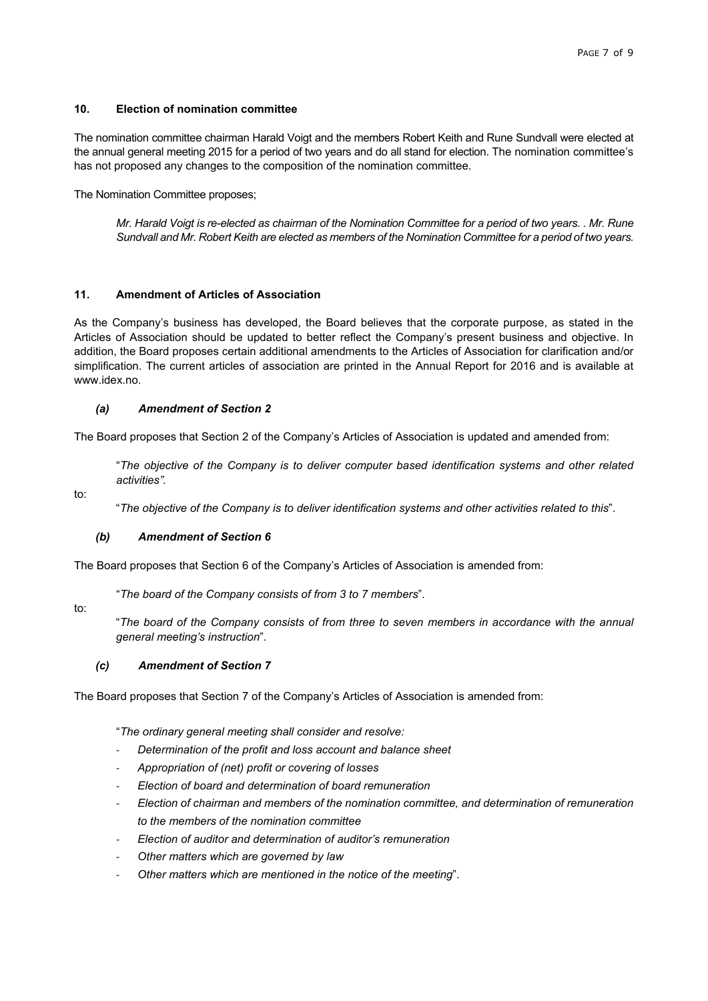## **10. Election of nomination committee**

The nomination committee chairman Harald Voigt and the members Robert Keith and Rune Sundvall were elected at the annual general meeting 2015 for a period of two years and do all stand for election. The nomination committee's has not proposed any changes to the composition of the nomination committee.

The Nomination Committee proposes;

*Mr. Harald Voigt is re-elected as chairman of the Nomination Committee for a period of two years. . Mr. Rune Sundvall and Mr. Robert Keith are elected as members of the Nomination Committee for a period of two years.* 

# **11. Amendment of Articles of Association**

As the Company's business has developed, the Board believes that the corporate purpose, as stated in the Articles of Association should be updated to better reflect the Company's present business and objective. In addition, the Board proposes certain additional amendments to the Articles of Association for clarification and/or simplification. The current articles of association are printed in the Annual Report for 2016 and is available at www.idex.no.

# *(a) Amendment of Section 2*

The Board proposes that Section 2 of the Company's Articles of Association is updated and amended from:

"*The objective of the Company is to deliver computer based identification systems and other related activities".* 

to:

"*The objective of the Company is to deliver identification systems and other activities related to this*".

## *(b) Amendment of Section 6*

The Board proposes that Section 6 of the Company's Articles of Association is amended from:

"*The board of the Company consists of from 3 to 7 members*".

 $t^{\circ}$ 

"*The board of the Company consists of from three to seven members in accordance with the annual general meeting's instruction*".

## *(c) Amendment of Section 7*

The Board proposes that Section 7 of the Company's Articles of Association is amended from:

"*The ordinary general meeting shall consider and resolve:* 

- ‐ *Determination of the profit and loss account and balance sheet*
- ‐ *Appropriation of (net) profit or covering of losses*
- ‐ *Election of board and determination of board remuneration*
- ‐ *Election of chairman and members of the nomination committee, and determination of remuneration to the members of the nomination committee*
- ‐ *Election of auditor and determination of auditor's remuneration*
- ‐ *Other matters which are governed by law*
- ‐ *Other matters which are mentioned in the notice of the meeting*".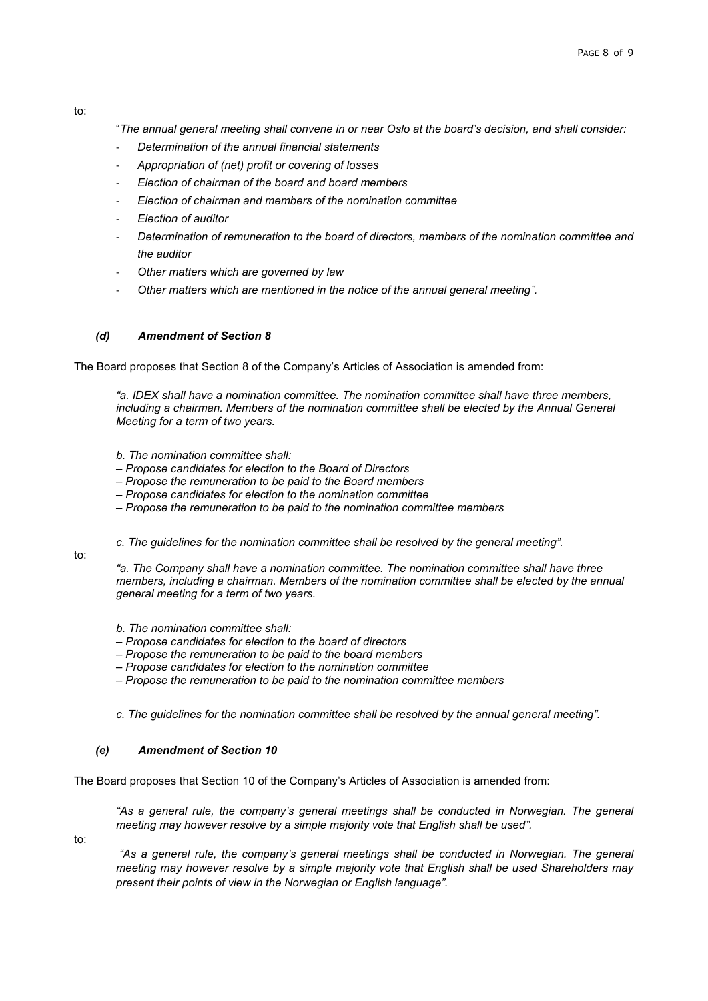to:

"*The annual general meeting shall convene in or near Oslo at the board's decision, and shall consider:* 

- ‐ *Determination of the annual financial statements*
- ‐ *Appropriation of (net) profit or covering of losses*
- ‐ *Election of chairman of the board and board members*
- ‐ *Election of chairman and members of the nomination committee*
- ‐ *Election of auditor*
- ‐ *Determination of remuneration to the board of directors, members of the nomination committee and the auditor*
- ‐ *Other matters which are governed by law*
- ‐ *Other matters which are mentioned in the notice of the annual general meeting".*

## *(d) Amendment of Section 8*

The Board proposes that Section 8 of the Company's Articles of Association is amended from:

*"a. IDEX shall have a nomination committee. The nomination committee shall have three members,*  including a chairman. Members of the nomination committee shall be elected by the Annual General *Meeting for a term of two years.* 

- *b. The nomination committee shall:*
- *Propose candidates for election to the Board of Directors*
- *Propose the remuneration to be paid to the Board members*
- *Propose candidates for election to the nomination committee*
- *Propose the remuneration to be paid to the nomination committee members*

to:

*c. The guidelines for the nomination committee shall be resolved by the general meeting".* 

*"a. The Company shall have a nomination committee. The nomination committee shall have three members, including a chairman. Members of the nomination committee shall be elected by the annual general meeting for a term of two years.* 

*b. The nomination committee shall:* 

- *Propose candidates for election to the board of directors*
- *Propose the remuneration to be paid to the board members*
- *Propose candidates for election to the nomination committee*
- *Propose the remuneration to be paid to the nomination committee members*

*c. The guidelines for the nomination committee shall be resolved by the annual general meeting".* 

## *(e) Amendment of Section 10*

The Board proposes that Section 10 of the Company's Articles of Association is amended from:

*"As a general rule, the company's general meetings shall be conducted in Norwegian. The general meeting may however resolve by a simple majority vote that English shall be used".* 

to:

 *"As a general rule, the company's general meetings shall be conducted in Norwegian. The general meeting may however resolve by a simple majority vote that English shall be used Shareholders may present their points of view in the Norwegian or English language".*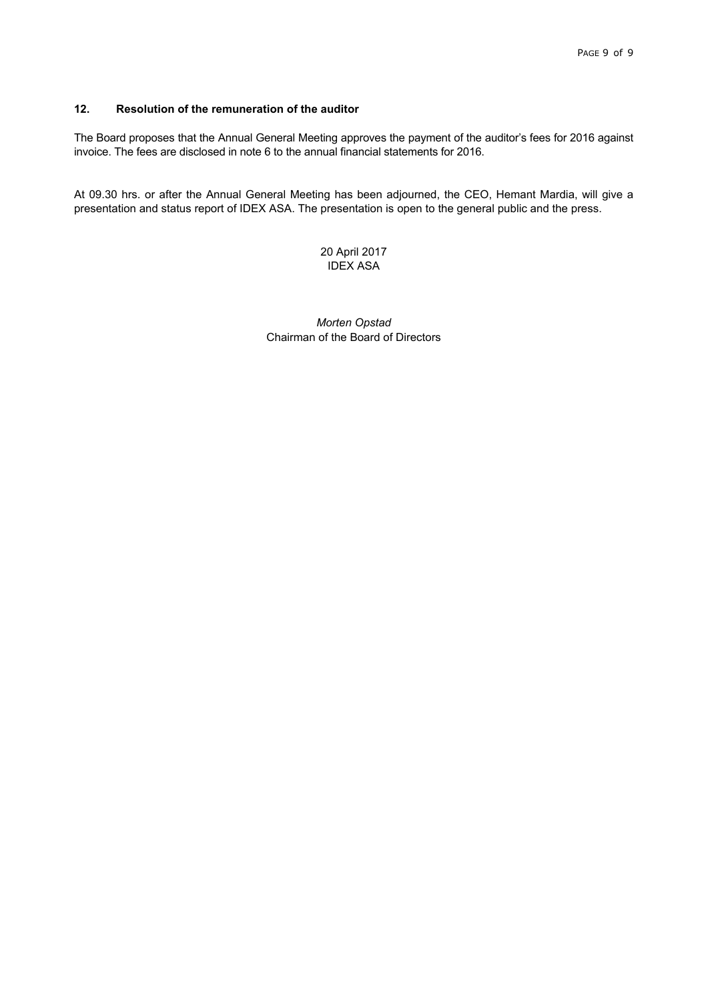# **12. Resolution of the remuneration of the auditor**

The Board proposes that the Annual General Meeting approves the payment of the auditor's fees for 2016 against invoice. The fees are disclosed in note 6 to the annual financial statements for 2016.

At 09.30 hrs. or after the Annual General Meeting has been adjourned, the CEO, Hemant Mardia, will give a presentation and status report of IDEX ASA. The presentation is open to the general public and the press.

> 20 April 2017 IDEX ASA

*Morten Opstad*  Chairman of the Board of Directors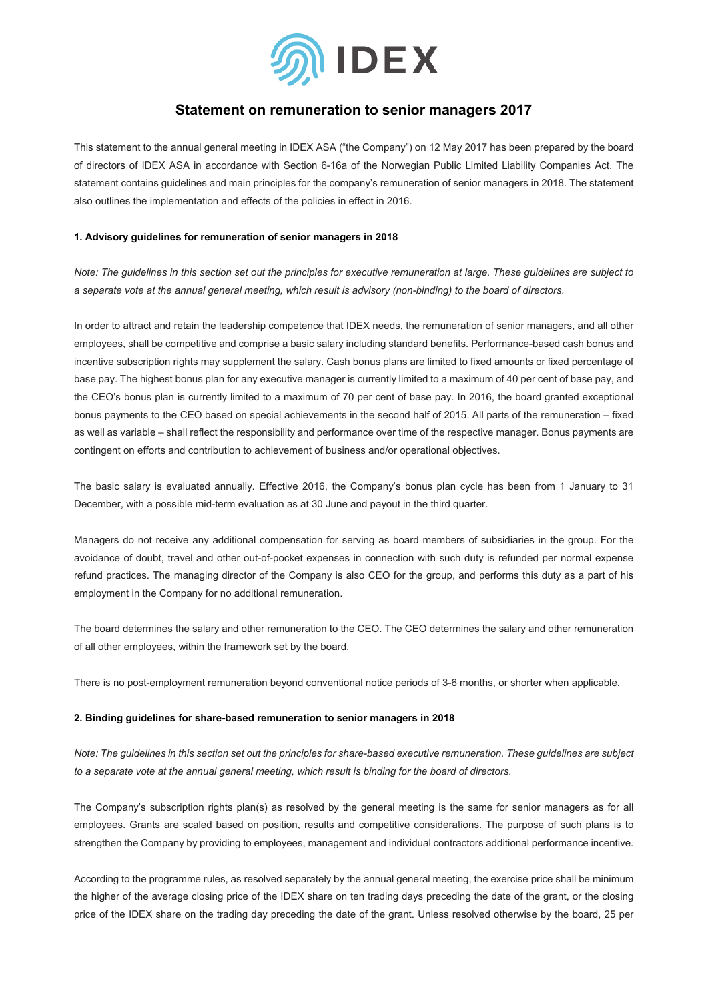

# **Statement on remuneration to senior managers 2017**

This statement to the annual general meeting in IDEX ASA ("the Company") on 12 May 2017 has been prepared by the board of directors of IDEX ASA in accordance with Section 6-16a of the Norwegian Public Limited Liability Companies Act. The statement contains guidelines and main principles for the company's remuneration of senior managers in 2018. The statement also outlines the implementation and effects of the policies in effect in 2016.

#### **1. Advisory guidelines for remuneration of senior managers in 2018**

*Note: The guidelines in this section set out the principles for executive remuneration at large. These guidelines are subject to a separate vote at the annual general meeting, which result is advisory (non-binding) to the board of directors.* 

In order to attract and retain the leadership competence that IDEX needs, the remuneration of senior managers, and all other employees, shall be competitive and comprise a basic salary including standard benefits. Performance-based cash bonus and incentive subscription rights may supplement the salary. Cash bonus plans are limited to fixed amounts or fixed percentage of base pay. The highest bonus plan for any executive manager is currently limited to a maximum of 40 per cent of base pay, and the CEO's bonus plan is currently limited to a maximum of 70 per cent of base pay. In 2016, the board granted exceptional bonus payments to the CEO based on special achievements in the second half of 2015. All parts of the remuneration – fixed as well as variable – shall reflect the responsibility and performance over time of the respective manager. Bonus payments are contingent on efforts and contribution to achievement of business and/or operational objectives.

The basic salary is evaluated annually. Effective 2016, the Company's bonus plan cycle has been from 1 January to 31 December, with a possible mid-term evaluation as at 30 June and payout in the third quarter.

Managers do not receive any additional compensation for serving as board members of subsidiaries in the group. For the avoidance of doubt, travel and other out-of-pocket expenses in connection with such duty is refunded per normal expense refund practices. The managing director of the Company is also CEO for the group, and performs this duty as a part of his employment in the Company for no additional remuneration.

The board determines the salary and other remuneration to the CEO. The CEO determines the salary and other remuneration of all other employees, within the framework set by the board.

There is no post-employment remuneration beyond conventional notice periods of 3-6 months, or shorter when applicable.

#### **2. Binding guidelines for share-based remuneration to senior managers in 2018**

*Note: The guidelines in this section set out the principles for share-based executive remuneration. These guidelines are subject to a separate vote at the annual general meeting, which result is binding for the board of directors.* 

The Company's subscription rights plan(s) as resolved by the general meeting is the same for senior managers as for all employees. Grants are scaled based on position, results and competitive considerations. The purpose of such plans is to strengthen the Company by providing to employees, management and individual contractors additional performance incentive.

According to the programme rules, as resolved separately by the annual general meeting, the exercise price shall be minimum the higher of the average closing price of the IDEX share on ten trading days preceding the date of the grant, or the closing price of the IDEX share on the trading day preceding the date of the grant. Unless resolved otherwise by the board, 25 per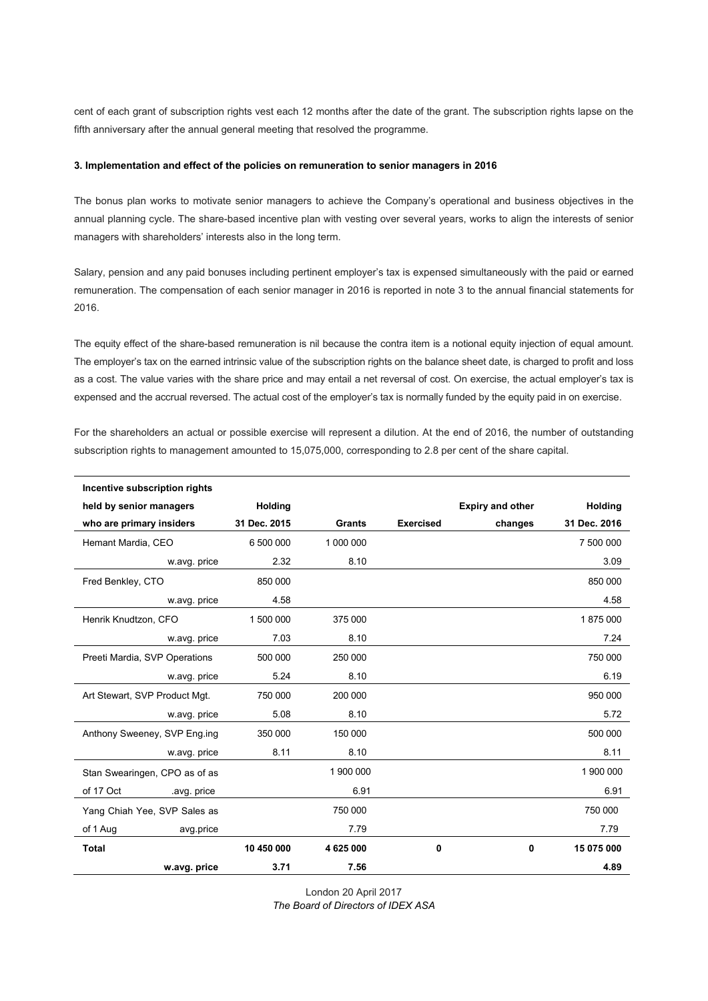cent of each grant of subscription rights vest each 12 months after the date of the grant. The subscription rights lapse on the fifth anniversary after the annual general meeting that resolved the programme.

#### **3. Implementation and effect of the policies on remuneration to senior managers in 2016**

The bonus plan works to motivate senior managers to achieve the Company's operational and business objectives in the annual planning cycle. The share-based incentive plan with vesting over several years, works to align the interests of senior managers with shareholders' interests also in the long term.

Salary, pension and any paid bonuses including pertinent employer's tax is expensed simultaneously with the paid or earned remuneration. The compensation of each senior manager in 2016 is reported in note 3 to the annual financial statements for 2016.

The equity effect of the share-based remuneration is nil because the contra item is a notional equity injection of equal amount. The employer's tax on the earned intrinsic value of the subscription rights on the balance sheet date, is charged to profit and loss as a cost. The value varies with the share price and may entail a net reversal of cost. On exercise, the actual employer's tax is expensed and the accrual reversed. The actual cost of the employer's tax is normally funded by the equity paid in on exercise.

For the shareholders an actual or possible exercise will represent a dilution. At the end of 2016, the number of outstanding subscription rights to management amounted to 15,075,000, corresponding to 2.8 per cent of the share capital.

| Incentive subscription rights |              |               |                  |                         |              |  |
|-------------------------------|--------------|---------------|------------------|-------------------------|--------------|--|
| held by senior managers       | Holding      |               |                  | <b>Expiry and other</b> | Holding      |  |
| who are primary insiders      | 31 Dec. 2015 | <b>Grants</b> | <b>Exercised</b> | changes                 | 31 Dec. 2016 |  |
| Hemant Mardia, CEO            | 6 500 000    | 1 000 000     |                  | 7 500 000               |              |  |
| w.avg. price                  | 2.32         | 8.10          |                  | 3.09                    |              |  |
| Fred Benkley, CTO             | 850 000      |               |                  |                         | 850 000      |  |
| w.avg. price                  | 4.58         |               |                  |                         | 4.58         |  |
| Henrik Knudtzon, CFO          | 1 500 000    | 375 000       |                  |                         | 1875000      |  |
| w.avg. price                  | 7.03         | 8.10          |                  |                         | 7.24         |  |
| Preeti Mardia, SVP Operations | 500 000      | 250 000       |                  |                         | 750 000      |  |
| w.avg. price                  | 5.24         | 8.10          |                  |                         | 6.19         |  |
| Art Stewart, SVP Product Mgt. | 750 000      | 200 000       |                  |                         | 950 000      |  |
| w.avg. price                  | 5.08         | 8.10          |                  |                         | 5.72         |  |
| Anthony Sweeney, SVP Eng.ing  | 350 000      | 150 000       |                  |                         | 500 000      |  |
| w.avg. price                  | 8.11         | 8.10          |                  |                         | 8.11         |  |
| Stan Swearingen, CPO as of as |              | 1 900 000     |                  |                         | 1 900 000    |  |
| of 17 Oct<br>.avg. price      |              | 6.91          |                  |                         | 6.91         |  |
| Yang Chiah Yee, SVP Sales as  |              | 750 000       |                  |                         | 750 000      |  |
| of 1 Aug<br>avg.price         |              | 7.79          |                  |                         | 7.79         |  |
| <b>Total</b>                  | 10 450 000   | 4625000       | 0                | 0                       | 15 075 000   |  |
| w.avg. price                  | 3.71         | 7.56          |                  |                         | 4.89         |  |

London 20 April 2017 *The Board of Directors of IDEX ASA*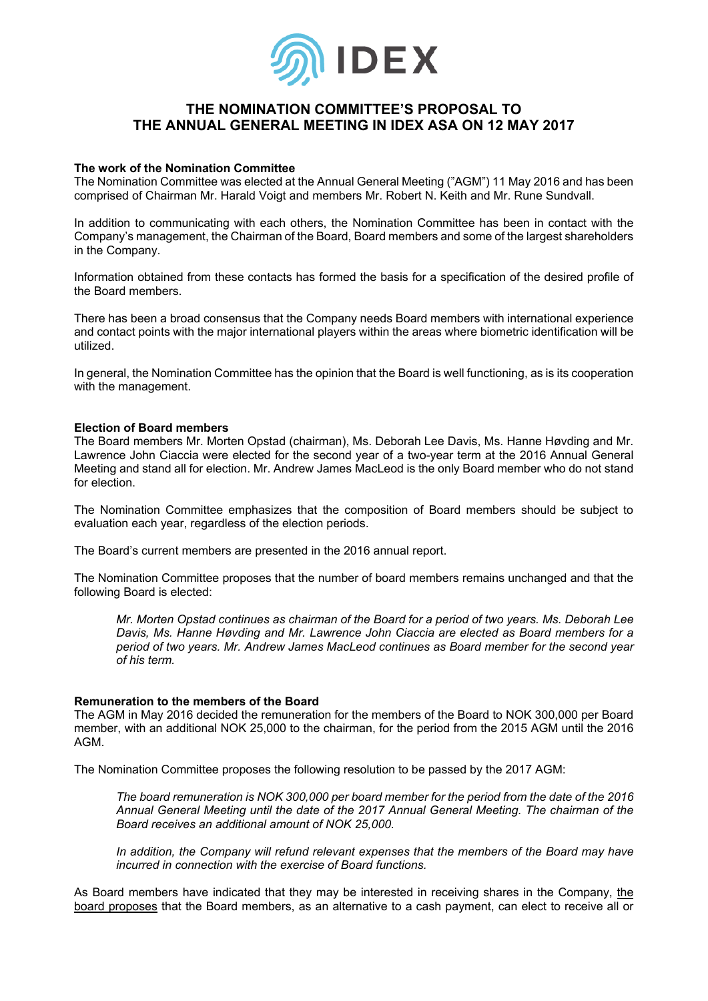

# **THE NOMINATION COMMITTEE'S PROPOSAL TO THE ANNUAL GENERAL MEETING IN IDEX ASA ON 12 MAY 2017**

## **The work of the Nomination Committee**

The Nomination Committee was elected at the Annual General Meeting ("AGM") 11 May 2016 and has been comprised of Chairman Mr. Harald Voigt and members Mr. Robert N. Keith and Mr. Rune Sundvall.

In addition to communicating with each others, the Nomination Committee has been in contact with the Company's management, the Chairman of the Board, Board members and some of the largest shareholders in the Company.

Information obtained from these contacts has formed the basis for a specification of the desired profile of the Board members.

There has been a broad consensus that the Company needs Board members with international experience and contact points with the major international players within the areas where biometric identification will be utilized.

In general, the Nomination Committee has the opinion that the Board is well functioning, as is its cooperation with the management.

#### **Election of Board members**

The Board members Mr. Morten Opstad (chairman), Ms. Deborah Lee Davis, Ms. Hanne Høvding and Mr. Lawrence John Ciaccia were elected for the second year of a two-year term at the 2016 Annual General Meeting and stand all for election. Mr. Andrew James MacLeod is the only Board member who do not stand for election.

The Nomination Committee emphasizes that the composition of Board members should be subject to evaluation each year, regardless of the election periods.

The Board's current members are presented in the 2016 annual report.

The Nomination Committee proposes that the number of board members remains unchanged and that the following Board is elected:

*Mr. Morten Opstad continues as chairman of the Board for a period of two years. Ms. Deborah Lee Davis, Ms. Hanne Høvding and Mr. Lawrence John Ciaccia are elected as Board members for a period of two years. Mr. Andrew James MacLeod continues as Board member for the second year of his term.* 

#### **Remuneration to the members of the Board**

The AGM in May 2016 decided the remuneration for the members of the Board to NOK 300,000 per Board member, with an additional NOK 25,000 to the chairman, for the period from the 2015 AGM until the 2016 AGM.

The Nomination Committee proposes the following resolution to be passed by the 2017 AGM:

*The board remuneration is NOK 300,000 per board member for the period from the date of the 2016 Annual General Meeting until the date of the 2017 Annual General Meeting. The chairman of the Board receives an additional amount of NOK 25,000.* 

*In addition, the Company will refund relevant expenses that the members of the Board may have incurred in connection with the exercise of Board functions.* 

As Board members have indicated that they may be interested in receiving shares in the Company, the board proposes that the Board members, as an alternative to a cash payment, can elect to receive all or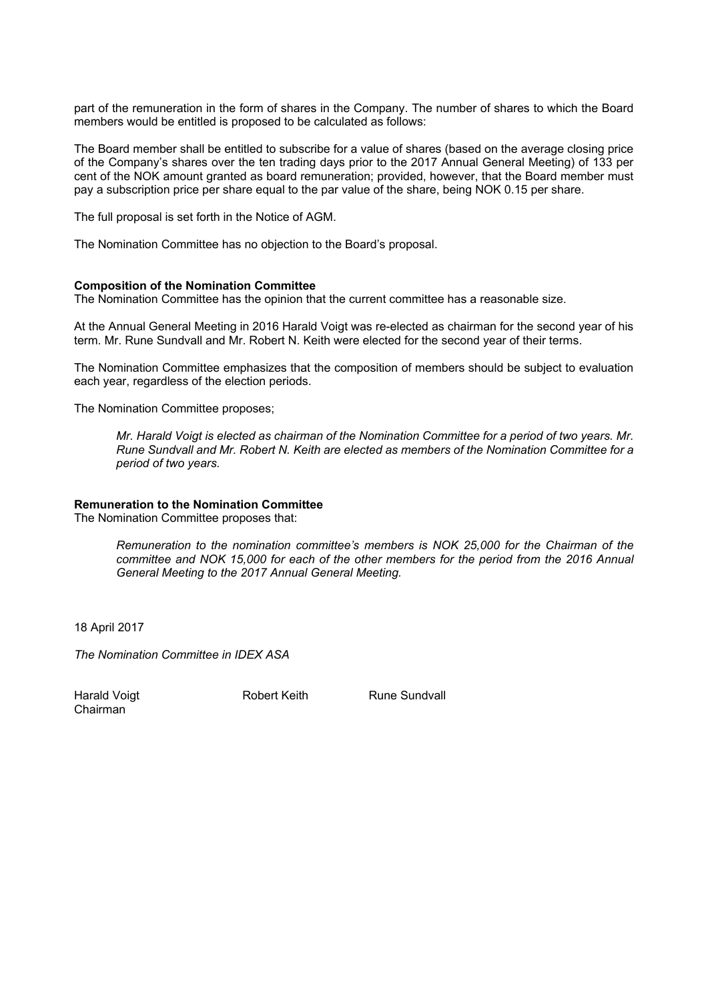part of the remuneration in the form of shares in the Company. The number of shares to which the Board members would be entitled is proposed to be calculated as follows:

The Board member shall be entitled to subscribe for a value of shares (based on the average closing price of the Company's shares over the ten trading days prior to the 2017 Annual General Meeting) of 133 per cent of the NOK amount granted as board remuneration; provided, however, that the Board member must pay a subscription price per share equal to the par value of the share, being NOK 0.15 per share.

The full proposal is set forth in the Notice of AGM.

The Nomination Committee has no objection to the Board's proposal.

#### **Composition of the Nomination Committee**

The Nomination Committee has the opinion that the current committee has a reasonable size.

At the Annual General Meeting in 2016 Harald Voigt was re-elected as chairman for the second year of his term. Mr. Rune Sundvall and Mr. Robert N. Keith were elected for the second year of their terms.

The Nomination Committee emphasizes that the composition of members should be subject to evaluation each year, regardless of the election periods.

The Nomination Committee proposes;

*Mr. Harald Voigt is elected as chairman of the Nomination Committee for a period of two years. Mr. Rune Sundvall and Mr. Robert N. Keith are elected as members of the Nomination Committee for a period of two years.* 

## **Remuneration to the Nomination Committee**

The Nomination Committee proposes that:

*Remuneration to the nomination committee's members is NOK 25,000 for the Chairman of the committee and NOK 15,000 for each of the other members for the period from the 2016 Annual General Meeting to the 2017 Annual General Meeting.*

18 April 2017

*The Nomination Committee in IDEX ASA* 

Chairman

Harald Voigt **Robert Keith** Rune Sundvall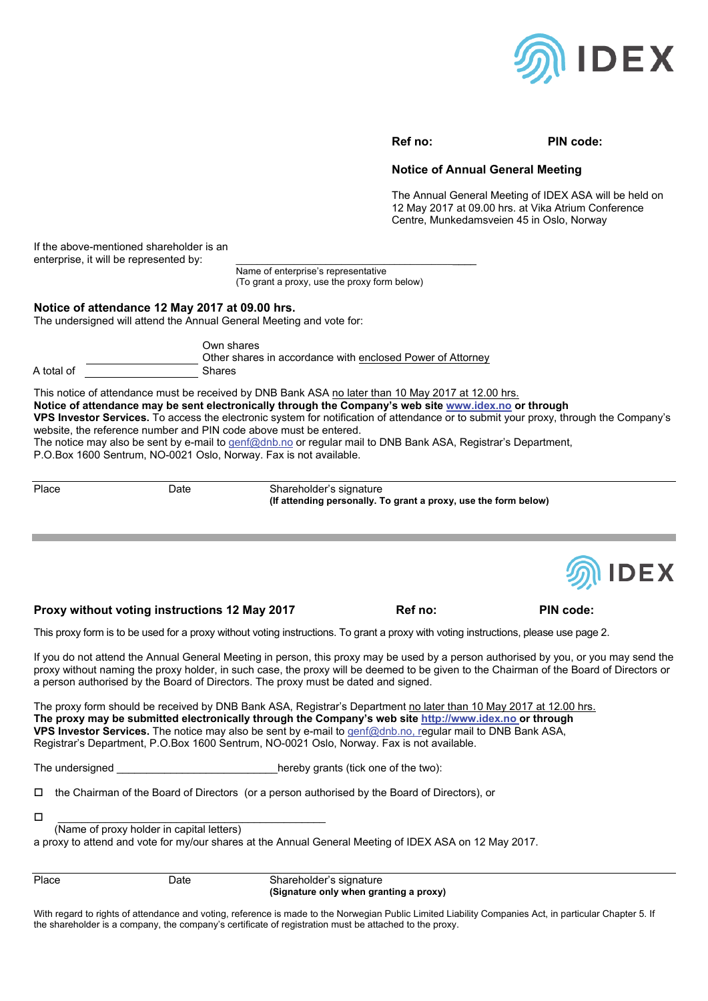

### **Ref no: PIN code:**

### **Notice of Annual General Meeting**

The Annual General Meeting of IDEX ASA will be held on 12 May 2017 at 09.00 hrs. at Vika Atrium Conference Centre, Munkedamsveien 45 in Oslo, Norway

If the above-mentioned shareholder is an enterprise, it will be represented by:

 Name of enterprise's representative (To grant a proxy, use the proxy form below)

## **Notice of attendance 12 May 2017 at 09.00 hrs.**

The undersigned will attend the Annual General Meeting and vote for:

|            | Own shares<br>Other shares in accordance with enclosed Power of Attorney |
|------------|--------------------------------------------------------------------------|
| A total of | Shares                                                                   |

This notice of attendance must be received by DNB Bank ASA no later than 10 May 2017 at 12.00 hrs. **Notice of attendance may be sent electronically through the Company's web site www.idex.no or through VPS Investor Services.** To access the electronic system for notification of attendance or to submit your proxy, through the Company's website, the reference number and PIN code above must be entered. The notice may also be sent by e-mail to genf@dnb.no or regular mail to DNB Bank ASA, Registrar's Department,

P.O.Box 1600 Sentrum, NO-0021 Oslo, Norway. Fax is not available.

Place Date Date Shareholder's signature  **(If attending personally. To grant a proxy, use the form below)** 



This proxy form is to be used for a proxy without voting instructions. To grant a proxy with voting instructions, please use page 2.

If you do not attend the Annual General Meeting in person, this proxy may be used by a person authorised by you, or you may send the proxy without naming the proxy holder, in such case, the proxy will be deemed to be given to the Chairman of the Board of Directors or a person authorised by the Board of Directors. The proxy must be dated and signed.

The proxy form should be received by DNB Bank ASA, Registrar's Department no later than 10 May 2017 at 12.00 hrs. **The proxy may be submitted electronically through the Company's web site http://www.idex.no or through VPS Investor Services.** The notice may also be sent by e-mail to genf@dnb.no, regular mail to DNB Bank ASA, Registrar's Department, P.O.Box 1600 Sentrum, NO-0021 Oslo, Norway. Fax is not available.

The undersigned The undersigned and the two is the two is the two is the two is the two is the two is the two i

 $\Box$  the Chairman of the Board of Directors (or a person authorised by the Board of Directors), or

 \_\_\_\_\_\_\_\_\_\_\_\_\_\_\_\_\_\_\_\_\_\_\_\_\_\_\_\_\_\_\_\_\_\_\_\_\_\_\_\_\_\_\_\_\_ (Name of proxy holder in capital letters)

a proxy to attend and vote for my/our shares at the Annual General Meeting of IDEX ASA on 12 May 2017.

Place Date Shareholder's signature  **(Signature only when granting a proxy)** 

With regard to rights of attendance and voting, reference is made to the Norwegian Public Limited Liability Companies Act, in particular Chapter 5. If the shareholder is a company, the company's certificate of registration must be attached to the proxy.